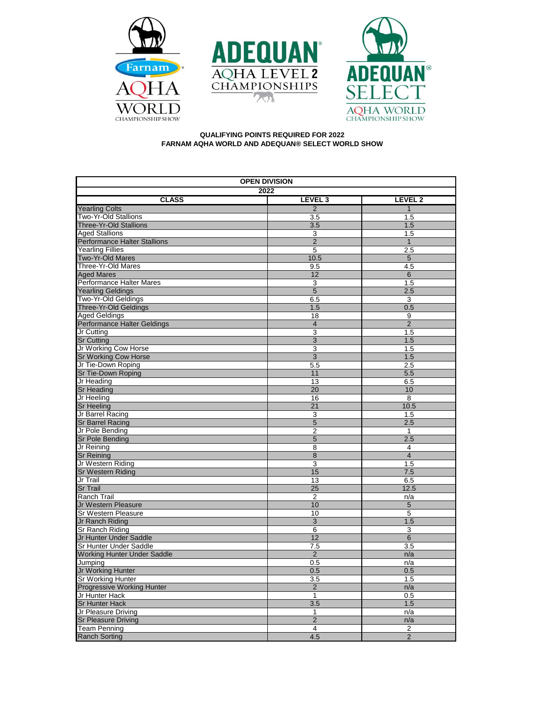





## **QUALIFYING POINTS REQUIRED FOR 2022 FARNAM AQHA WORLD AND ADEQUAN® SELECT WORLD SHOW**

| 2022<br><b>CLASS</b><br>LEVEL <sub>3</sub><br>LEVEL 2<br>$\overline{2}$<br><b>Yearling Colts</b><br>$\overline{1}$<br>Two-Yr-Old Stallions<br>3.5<br>1.5<br><b>Three-Yr-Old Stallions</b><br>1.5<br>3.5<br><b>Aged Stallions</b><br>3<br>1.5<br>$\overline{2}$<br><b>Performance Halter Stallions</b><br>$\mathbf{1}$<br><b>Yearling Fillies</b><br>2.5<br>5<br>Two-Yr-Old Mares<br>10.5<br>$5\phantom{.0}$<br>Three-Yr-Old Mares<br>9.5<br>4.5<br>12<br>$6\,$<br><b>Aged Mares</b><br>Performance Halter Mares<br>3<br>1.5<br>$\overline{5}$<br><b>Yearling Geldings</b><br>2.5<br>Two-Yr-Old Geldings<br>6.5<br>3<br>Three-Yr-Old Geldings<br>0.5<br>1.5<br><b>Aged Geldings</b><br>18<br>9<br>$\overline{2}$<br>Performance Halter Geldings<br>$\overline{4}$<br>Jr Cutting<br>3<br>1.5<br><b>Sr Cutting</b><br>3<br>1.5<br>Jr Working Cow Horse<br>3<br>1.5<br>$\overline{3}$<br>Sr Working Cow Horse<br>1.5<br>Jr Tie-Down Roping<br>$5.\overline{5}$<br>2.5<br>Sr Tie-Down Roping<br>11<br>5.5<br>Jr Heading<br>13<br>6.5<br><b>Sr Heading</b><br>20<br>10<br>Jr Heeling<br>16<br>8<br>10.5<br><b>Sr Heeling</b><br>21<br>Jr Barrel Racing<br>3<br>1.5<br><b>Sr Barrel Racing</b><br>2.5<br>5<br>$\overline{2}$<br>Jr Pole Bending<br>$\mathbf{1}$<br>5<br>2.5<br>Sr Pole Bending<br>Jr Reining<br>8<br>4<br>$\overline{4}$<br><b>Sr Reining</b><br>8<br>$\overline{\mathbf{3}}$<br>Jr Western Riding<br>1.5<br><b>Sr Western Riding</b><br>15<br>7.5<br>Jr Trail<br>13<br>6.5<br><b>Sr Trail</b><br>25<br>12.5<br>Ranch Trail<br>$\overline{2}$<br>n/a<br>Jr Western Pleasure<br>10<br>5<br>Sr Western Pleasure<br>10<br>5<br>$\overline{3}$<br>Jr Ranch Riding<br>1.5<br>Sr Ranch Riding<br>6<br>3<br>Jr Hunter Under Saddle<br>12<br>6<br>3.5<br>Sr Hunter Under Saddle<br>7.5<br>Working Hunter Under Saddle<br>$\overline{2}$<br>n/a<br>Jumping<br>0.5<br>n/a<br>Jr Working Hunter<br>0.5<br>0.5<br><b>Sr Working Hunter</b><br>3.5<br>1.5<br>Progressive Working Hunter<br>$\overline{2}$<br>n/a<br>Jr Hunter Hack<br>1<br>0.5<br>1.5<br><b>Sr Hunter Hack</b><br>3.5<br>Jr Pleasure Driving<br>$\mathbf{1}$<br>n/a<br>$\overline{2}$<br><b>Sr Pleasure Driving</b><br>n/a<br><b>Team Penning</b><br>$\overline{\mathbf{4}}$<br>2<br><b>Ranch Sorting</b><br>4.5<br>$\overline{2}$ | <b>OPEN DIVISION</b> |  |  |  |  |
|------------------------------------------------------------------------------------------------------------------------------------------------------------------------------------------------------------------------------------------------------------------------------------------------------------------------------------------------------------------------------------------------------------------------------------------------------------------------------------------------------------------------------------------------------------------------------------------------------------------------------------------------------------------------------------------------------------------------------------------------------------------------------------------------------------------------------------------------------------------------------------------------------------------------------------------------------------------------------------------------------------------------------------------------------------------------------------------------------------------------------------------------------------------------------------------------------------------------------------------------------------------------------------------------------------------------------------------------------------------------------------------------------------------------------------------------------------------------------------------------------------------------------------------------------------------------------------------------------------------------------------------------------------------------------------------------------------------------------------------------------------------------------------------------------------------------------------------------------------------------------------------------------------------------------------------------------------------------------------------------------------------------------------------------------------------------------------------------------------------------------------------------------------------------------------------------------------------------------------------------------------------------------------------------|----------------------|--|--|--|--|
|                                                                                                                                                                                                                                                                                                                                                                                                                                                                                                                                                                                                                                                                                                                                                                                                                                                                                                                                                                                                                                                                                                                                                                                                                                                                                                                                                                                                                                                                                                                                                                                                                                                                                                                                                                                                                                                                                                                                                                                                                                                                                                                                                                                                                                                                                                |                      |  |  |  |  |
|                                                                                                                                                                                                                                                                                                                                                                                                                                                                                                                                                                                                                                                                                                                                                                                                                                                                                                                                                                                                                                                                                                                                                                                                                                                                                                                                                                                                                                                                                                                                                                                                                                                                                                                                                                                                                                                                                                                                                                                                                                                                                                                                                                                                                                                                                                |                      |  |  |  |  |
|                                                                                                                                                                                                                                                                                                                                                                                                                                                                                                                                                                                                                                                                                                                                                                                                                                                                                                                                                                                                                                                                                                                                                                                                                                                                                                                                                                                                                                                                                                                                                                                                                                                                                                                                                                                                                                                                                                                                                                                                                                                                                                                                                                                                                                                                                                |                      |  |  |  |  |
|                                                                                                                                                                                                                                                                                                                                                                                                                                                                                                                                                                                                                                                                                                                                                                                                                                                                                                                                                                                                                                                                                                                                                                                                                                                                                                                                                                                                                                                                                                                                                                                                                                                                                                                                                                                                                                                                                                                                                                                                                                                                                                                                                                                                                                                                                                |                      |  |  |  |  |
|                                                                                                                                                                                                                                                                                                                                                                                                                                                                                                                                                                                                                                                                                                                                                                                                                                                                                                                                                                                                                                                                                                                                                                                                                                                                                                                                                                                                                                                                                                                                                                                                                                                                                                                                                                                                                                                                                                                                                                                                                                                                                                                                                                                                                                                                                                |                      |  |  |  |  |
|                                                                                                                                                                                                                                                                                                                                                                                                                                                                                                                                                                                                                                                                                                                                                                                                                                                                                                                                                                                                                                                                                                                                                                                                                                                                                                                                                                                                                                                                                                                                                                                                                                                                                                                                                                                                                                                                                                                                                                                                                                                                                                                                                                                                                                                                                                |                      |  |  |  |  |
|                                                                                                                                                                                                                                                                                                                                                                                                                                                                                                                                                                                                                                                                                                                                                                                                                                                                                                                                                                                                                                                                                                                                                                                                                                                                                                                                                                                                                                                                                                                                                                                                                                                                                                                                                                                                                                                                                                                                                                                                                                                                                                                                                                                                                                                                                                |                      |  |  |  |  |
|                                                                                                                                                                                                                                                                                                                                                                                                                                                                                                                                                                                                                                                                                                                                                                                                                                                                                                                                                                                                                                                                                                                                                                                                                                                                                                                                                                                                                                                                                                                                                                                                                                                                                                                                                                                                                                                                                                                                                                                                                                                                                                                                                                                                                                                                                                |                      |  |  |  |  |
|                                                                                                                                                                                                                                                                                                                                                                                                                                                                                                                                                                                                                                                                                                                                                                                                                                                                                                                                                                                                                                                                                                                                                                                                                                                                                                                                                                                                                                                                                                                                                                                                                                                                                                                                                                                                                                                                                                                                                                                                                                                                                                                                                                                                                                                                                                |                      |  |  |  |  |
|                                                                                                                                                                                                                                                                                                                                                                                                                                                                                                                                                                                                                                                                                                                                                                                                                                                                                                                                                                                                                                                                                                                                                                                                                                                                                                                                                                                                                                                                                                                                                                                                                                                                                                                                                                                                                                                                                                                                                                                                                                                                                                                                                                                                                                                                                                |                      |  |  |  |  |
|                                                                                                                                                                                                                                                                                                                                                                                                                                                                                                                                                                                                                                                                                                                                                                                                                                                                                                                                                                                                                                                                                                                                                                                                                                                                                                                                                                                                                                                                                                                                                                                                                                                                                                                                                                                                                                                                                                                                                                                                                                                                                                                                                                                                                                                                                                |                      |  |  |  |  |
|                                                                                                                                                                                                                                                                                                                                                                                                                                                                                                                                                                                                                                                                                                                                                                                                                                                                                                                                                                                                                                                                                                                                                                                                                                                                                                                                                                                                                                                                                                                                                                                                                                                                                                                                                                                                                                                                                                                                                                                                                                                                                                                                                                                                                                                                                                |                      |  |  |  |  |
|                                                                                                                                                                                                                                                                                                                                                                                                                                                                                                                                                                                                                                                                                                                                                                                                                                                                                                                                                                                                                                                                                                                                                                                                                                                                                                                                                                                                                                                                                                                                                                                                                                                                                                                                                                                                                                                                                                                                                                                                                                                                                                                                                                                                                                                                                                |                      |  |  |  |  |
|                                                                                                                                                                                                                                                                                                                                                                                                                                                                                                                                                                                                                                                                                                                                                                                                                                                                                                                                                                                                                                                                                                                                                                                                                                                                                                                                                                                                                                                                                                                                                                                                                                                                                                                                                                                                                                                                                                                                                                                                                                                                                                                                                                                                                                                                                                |                      |  |  |  |  |
|                                                                                                                                                                                                                                                                                                                                                                                                                                                                                                                                                                                                                                                                                                                                                                                                                                                                                                                                                                                                                                                                                                                                                                                                                                                                                                                                                                                                                                                                                                                                                                                                                                                                                                                                                                                                                                                                                                                                                                                                                                                                                                                                                                                                                                                                                                |                      |  |  |  |  |
|                                                                                                                                                                                                                                                                                                                                                                                                                                                                                                                                                                                                                                                                                                                                                                                                                                                                                                                                                                                                                                                                                                                                                                                                                                                                                                                                                                                                                                                                                                                                                                                                                                                                                                                                                                                                                                                                                                                                                                                                                                                                                                                                                                                                                                                                                                |                      |  |  |  |  |
|                                                                                                                                                                                                                                                                                                                                                                                                                                                                                                                                                                                                                                                                                                                                                                                                                                                                                                                                                                                                                                                                                                                                                                                                                                                                                                                                                                                                                                                                                                                                                                                                                                                                                                                                                                                                                                                                                                                                                                                                                                                                                                                                                                                                                                                                                                |                      |  |  |  |  |
|                                                                                                                                                                                                                                                                                                                                                                                                                                                                                                                                                                                                                                                                                                                                                                                                                                                                                                                                                                                                                                                                                                                                                                                                                                                                                                                                                                                                                                                                                                                                                                                                                                                                                                                                                                                                                                                                                                                                                                                                                                                                                                                                                                                                                                                                                                |                      |  |  |  |  |
|                                                                                                                                                                                                                                                                                                                                                                                                                                                                                                                                                                                                                                                                                                                                                                                                                                                                                                                                                                                                                                                                                                                                                                                                                                                                                                                                                                                                                                                                                                                                                                                                                                                                                                                                                                                                                                                                                                                                                                                                                                                                                                                                                                                                                                                                                                |                      |  |  |  |  |
|                                                                                                                                                                                                                                                                                                                                                                                                                                                                                                                                                                                                                                                                                                                                                                                                                                                                                                                                                                                                                                                                                                                                                                                                                                                                                                                                                                                                                                                                                                                                                                                                                                                                                                                                                                                                                                                                                                                                                                                                                                                                                                                                                                                                                                                                                                |                      |  |  |  |  |
|                                                                                                                                                                                                                                                                                                                                                                                                                                                                                                                                                                                                                                                                                                                                                                                                                                                                                                                                                                                                                                                                                                                                                                                                                                                                                                                                                                                                                                                                                                                                                                                                                                                                                                                                                                                                                                                                                                                                                                                                                                                                                                                                                                                                                                                                                                |                      |  |  |  |  |
|                                                                                                                                                                                                                                                                                                                                                                                                                                                                                                                                                                                                                                                                                                                                                                                                                                                                                                                                                                                                                                                                                                                                                                                                                                                                                                                                                                                                                                                                                                                                                                                                                                                                                                                                                                                                                                                                                                                                                                                                                                                                                                                                                                                                                                                                                                |                      |  |  |  |  |
|                                                                                                                                                                                                                                                                                                                                                                                                                                                                                                                                                                                                                                                                                                                                                                                                                                                                                                                                                                                                                                                                                                                                                                                                                                                                                                                                                                                                                                                                                                                                                                                                                                                                                                                                                                                                                                                                                                                                                                                                                                                                                                                                                                                                                                                                                                |                      |  |  |  |  |
|                                                                                                                                                                                                                                                                                                                                                                                                                                                                                                                                                                                                                                                                                                                                                                                                                                                                                                                                                                                                                                                                                                                                                                                                                                                                                                                                                                                                                                                                                                                                                                                                                                                                                                                                                                                                                                                                                                                                                                                                                                                                                                                                                                                                                                                                                                |                      |  |  |  |  |
|                                                                                                                                                                                                                                                                                                                                                                                                                                                                                                                                                                                                                                                                                                                                                                                                                                                                                                                                                                                                                                                                                                                                                                                                                                                                                                                                                                                                                                                                                                                                                                                                                                                                                                                                                                                                                                                                                                                                                                                                                                                                                                                                                                                                                                                                                                |                      |  |  |  |  |
|                                                                                                                                                                                                                                                                                                                                                                                                                                                                                                                                                                                                                                                                                                                                                                                                                                                                                                                                                                                                                                                                                                                                                                                                                                                                                                                                                                                                                                                                                                                                                                                                                                                                                                                                                                                                                                                                                                                                                                                                                                                                                                                                                                                                                                                                                                |                      |  |  |  |  |
|                                                                                                                                                                                                                                                                                                                                                                                                                                                                                                                                                                                                                                                                                                                                                                                                                                                                                                                                                                                                                                                                                                                                                                                                                                                                                                                                                                                                                                                                                                                                                                                                                                                                                                                                                                                                                                                                                                                                                                                                                                                                                                                                                                                                                                                                                                |                      |  |  |  |  |
|                                                                                                                                                                                                                                                                                                                                                                                                                                                                                                                                                                                                                                                                                                                                                                                                                                                                                                                                                                                                                                                                                                                                                                                                                                                                                                                                                                                                                                                                                                                                                                                                                                                                                                                                                                                                                                                                                                                                                                                                                                                                                                                                                                                                                                                                                                |                      |  |  |  |  |
|                                                                                                                                                                                                                                                                                                                                                                                                                                                                                                                                                                                                                                                                                                                                                                                                                                                                                                                                                                                                                                                                                                                                                                                                                                                                                                                                                                                                                                                                                                                                                                                                                                                                                                                                                                                                                                                                                                                                                                                                                                                                                                                                                                                                                                                                                                |                      |  |  |  |  |
|                                                                                                                                                                                                                                                                                                                                                                                                                                                                                                                                                                                                                                                                                                                                                                                                                                                                                                                                                                                                                                                                                                                                                                                                                                                                                                                                                                                                                                                                                                                                                                                                                                                                                                                                                                                                                                                                                                                                                                                                                                                                                                                                                                                                                                                                                                |                      |  |  |  |  |
|                                                                                                                                                                                                                                                                                                                                                                                                                                                                                                                                                                                                                                                                                                                                                                                                                                                                                                                                                                                                                                                                                                                                                                                                                                                                                                                                                                                                                                                                                                                                                                                                                                                                                                                                                                                                                                                                                                                                                                                                                                                                                                                                                                                                                                                                                                |                      |  |  |  |  |
|                                                                                                                                                                                                                                                                                                                                                                                                                                                                                                                                                                                                                                                                                                                                                                                                                                                                                                                                                                                                                                                                                                                                                                                                                                                                                                                                                                                                                                                                                                                                                                                                                                                                                                                                                                                                                                                                                                                                                                                                                                                                                                                                                                                                                                                                                                |                      |  |  |  |  |
|                                                                                                                                                                                                                                                                                                                                                                                                                                                                                                                                                                                                                                                                                                                                                                                                                                                                                                                                                                                                                                                                                                                                                                                                                                                                                                                                                                                                                                                                                                                                                                                                                                                                                                                                                                                                                                                                                                                                                                                                                                                                                                                                                                                                                                                                                                |                      |  |  |  |  |
|                                                                                                                                                                                                                                                                                                                                                                                                                                                                                                                                                                                                                                                                                                                                                                                                                                                                                                                                                                                                                                                                                                                                                                                                                                                                                                                                                                                                                                                                                                                                                                                                                                                                                                                                                                                                                                                                                                                                                                                                                                                                                                                                                                                                                                                                                                |                      |  |  |  |  |
|                                                                                                                                                                                                                                                                                                                                                                                                                                                                                                                                                                                                                                                                                                                                                                                                                                                                                                                                                                                                                                                                                                                                                                                                                                                                                                                                                                                                                                                                                                                                                                                                                                                                                                                                                                                                                                                                                                                                                                                                                                                                                                                                                                                                                                                                                                |                      |  |  |  |  |
|                                                                                                                                                                                                                                                                                                                                                                                                                                                                                                                                                                                                                                                                                                                                                                                                                                                                                                                                                                                                                                                                                                                                                                                                                                                                                                                                                                                                                                                                                                                                                                                                                                                                                                                                                                                                                                                                                                                                                                                                                                                                                                                                                                                                                                                                                                |                      |  |  |  |  |
|                                                                                                                                                                                                                                                                                                                                                                                                                                                                                                                                                                                                                                                                                                                                                                                                                                                                                                                                                                                                                                                                                                                                                                                                                                                                                                                                                                                                                                                                                                                                                                                                                                                                                                                                                                                                                                                                                                                                                                                                                                                                                                                                                                                                                                                                                                |                      |  |  |  |  |
|                                                                                                                                                                                                                                                                                                                                                                                                                                                                                                                                                                                                                                                                                                                                                                                                                                                                                                                                                                                                                                                                                                                                                                                                                                                                                                                                                                                                                                                                                                                                                                                                                                                                                                                                                                                                                                                                                                                                                                                                                                                                                                                                                                                                                                                                                                |                      |  |  |  |  |
|                                                                                                                                                                                                                                                                                                                                                                                                                                                                                                                                                                                                                                                                                                                                                                                                                                                                                                                                                                                                                                                                                                                                                                                                                                                                                                                                                                                                                                                                                                                                                                                                                                                                                                                                                                                                                                                                                                                                                                                                                                                                                                                                                                                                                                                                                                |                      |  |  |  |  |
|                                                                                                                                                                                                                                                                                                                                                                                                                                                                                                                                                                                                                                                                                                                                                                                                                                                                                                                                                                                                                                                                                                                                                                                                                                                                                                                                                                                                                                                                                                                                                                                                                                                                                                                                                                                                                                                                                                                                                                                                                                                                                                                                                                                                                                                                                                |                      |  |  |  |  |
|                                                                                                                                                                                                                                                                                                                                                                                                                                                                                                                                                                                                                                                                                                                                                                                                                                                                                                                                                                                                                                                                                                                                                                                                                                                                                                                                                                                                                                                                                                                                                                                                                                                                                                                                                                                                                                                                                                                                                                                                                                                                                                                                                                                                                                                                                                |                      |  |  |  |  |
|                                                                                                                                                                                                                                                                                                                                                                                                                                                                                                                                                                                                                                                                                                                                                                                                                                                                                                                                                                                                                                                                                                                                                                                                                                                                                                                                                                                                                                                                                                                                                                                                                                                                                                                                                                                                                                                                                                                                                                                                                                                                                                                                                                                                                                                                                                |                      |  |  |  |  |
|                                                                                                                                                                                                                                                                                                                                                                                                                                                                                                                                                                                                                                                                                                                                                                                                                                                                                                                                                                                                                                                                                                                                                                                                                                                                                                                                                                                                                                                                                                                                                                                                                                                                                                                                                                                                                                                                                                                                                                                                                                                                                                                                                                                                                                                                                                |                      |  |  |  |  |
|                                                                                                                                                                                                                                                                                                                                                                                                                                                                                                                                                                                                                                                                                                                                                                                                                                                                                                                                                                                                                                                                                                                                                                                                                                                                                                                                                                                                                                                                                                                                                                                                                                                                                                                                                                                                                                                                                                                                                                                                                                                                                                                                                                                                                                                                                                |                      |  |  |  |  |
|                                                                                                                                                                                                                                                                                                                                                                                                                                                                                                                                                                                                                                                                                                                                                                                                                                                                                                                                                                                                                                                                                                                                                                                                                                                                                                                                                                                                                                                                                                                                                                                                                                                                                                                                                                                                                                                                                                                                                                                                                                                                                                                                                                                                                                                                                                |                      |  |  |  |  |
|                                                                                                                                                                                                                                                                                                                                                                                                                                                                                                                                                                                                                                                                                                                                                                                                                                                                                                                                                                                                                                                                                                                                                                                                                                                                                                                                                                                                                                                                                                                                                                                                                                                                                                                                                                                                                                                                                                                                                                                                                                                                                                                                                                                                                                                                                                |                      |  |  |  |  |
|                                                                                                                                                                                                                                                                                                                                                                                                                                                                                                                                                                                                                                                                                                                                                                                                                                                                                                                                                                                                                                                                                                                                                                                                                                                                                                                                                                                                                                                                                                                                                                                                                                                                                                                                                                                                                                                                                                                                                                                                                                                                                                                                                                                                                                                                                                |                      |  |  |  |  |
|                                                                                                                                                                                                                                                                                                                                                                                                                                                                                                                                                                                                                                                                                                                                                                                                                                                                                                                                                                                                                                                                                                                                                                                                                                                                                                                                                                                                                                                                                                                                                                                                                                                                                                                                                                                                                                                                                                                                                                                                                                                                                                                                                                                                                                                                                                |                      |  |  |  |  |
|                                                                                                                                                                                                                                                                                                                                                                                                                                                                                                                                                                                                                                                                                                                                                                                                                                                                                                                                                                                                                                                                                                                                                                                                                                                                                                                                                                                                                                                                                                                                                                                                                                                                                                                                                                                                                                                                                                                                                                                                                                                                                                                                                                                                                                                                                                |                      |  |  |  |  |
|                                                                                                                                                                                                                                                                                                                                                                                                                                                                                                                                                                                                                                                                                                                                                                                                                                                                                                                                                                                                                                                                                                                                                                                                                                                                                                                                                                                                                                                                                                                                                                                                                                                                                                                                                                                                                                                                                                                                                                                                                                                                                                                                                                                                                                                                                                |                      |  |  |  |  |
|                                                                                                                                                                                                                                                                                                                                                                                                                                                                                                                                                                                                                                                                                                                                                                                                                                                                                                                                                                                                                                                                                                                                                                                                                                                                                                                                                                                                                                                                                                                                                                                                                                                                                                                                                                                                                                                                                                                                                                                                                                                                                                                                                                                                                                                                                                |                      |  |  |  |  |
|                                                                                                                                                                                                                                                                                                                                                                                                                                                                                                                                                                                                                                                                                                                                                                                                                                                                                                                                                                                                                                                                                                                                                                                                                                                                                                                                                                                                                                                                                                                                                                                                                                                                                                                                                                                                                                                                                                                                                                                                                                                                                                                                                                                                                                                                                                |                      |  |  |  |  |
|                                                                                                                                                                                                                                                                                                                                                                                                                                                                                                                                                                                                                                                                                                                                                                                                                                                                                                                                                                                                                                                                                                                                                                                                                                                                                                                                                                                                                                                                                                                                                                                                                                                                                                                                                                                                                                                                                                                                                                                                                                                                                                                                                                                                                                                                                                |                      |  |  |  |  |
|                                                                                                                                                                                                                                                                                                                                                                                                                                                                                                                                                                                                                                                                                                                                                                                                                                                                                                                                                                                                                                                                                                                                                                                                                                                                                                                                                                                                                                                                                                                                                                                                                                                                                                                                                                                                                                                                                                                                                                                                                                                                                                                                                                                                                                                                                                |                      |  |  |  |  |
|                                                                                                                                                                                                                                                                                                                                                                                                                                                                                                                                                                                                                                                                                                                                                                                                                                                                                                                                                                                                                                                                                                                                                                                                                                                                                                                                                                                                                                                                                                                                                                                                                                                                                                                                                                                                                                                                                                                                                                                                                                                                                                                                                                                                                                                                                                |                      |  |  |  |  |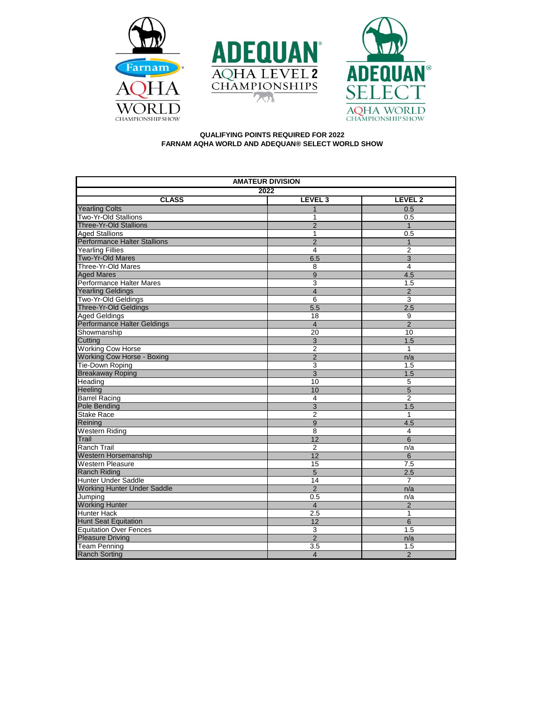





## **QUALIFYING POINTS REQUIRED FOR 2022 FARNAM AQHA WORLD AND ADEQUAN® SELECT WORLD SHOW**

| <b>AMATEUR DIVISION</b>             |                           |                    |  |  |
|-------------------------------------|---------------------------|--------------------|--|--|
| 2022                                |                           |                    |  |  |
| <b>CLASS</b>                        | LEVEL <sub>3</sub>        | LEVEL <sub>2</sub> |  |  |
| <b>Yearling Colts</b>               | 1                         | 0.5                |  |  |
| Two-Yr-Old Stallions                | 1                         | 0.5                |  |  |
| <b>Three-Yr-Old Stallions</b>       | $\overline{2}$            | $\mathbf{1}$       |  |  |
| <b>Aged Stallions</b>               | 1                         | 0.5                |  |  |
| <b>Performance Halter Stallions</b> | $\overline{2}$            | $\mathbf{1}$       |  |  |
| <b>Yearling Fillies</b>             | 4                         | 2                  |  |  |
| <b>Two-Yr-Old Mares</b>             | 6.5                       | 3                  |  |  |
| Three-Yr-Old Mares                  | $\overline{8}$            | 4                  |  |  |
| <b>Aged Mares</b>                   | 9                         | 4.5                |  |  |
| Performance Halter Mares            | 3                         | 1.5                |  |  |
| <b>Yearling Geldings</b>            | $\overline{4}$            | $\overline{2}$     |  |  |
| Two-Yr-Old Geldings                 | 6                         | 3                  |  |  |
| <b>Three-Yr-Old Geldings</b>        | 5.5                       | 2.5                |  |  |
| <b>Aged Geldings</b>                | 18                        | 9                  |  |  |
| Performance Halter Geldings         | $\overline{4}$            | $\overline{2}$     |  |  |
| Showmanship                         | $\overline{20}$           | 10                 |  |  |
| Cutting                             | $\ensuremath{\mathsf{3}}$ | 1.5                |  |  |
| <b>Working Cow Horse</b>            | $\overline{2}$            | $\mathbf{1}$       |  |  |
| <b>Working Cow Horse - Boxing</b>   | $\overline{2}$            | n/a                |  |  |
| Tie-Down Roping                     | 3                         | 1.5                |  |  |
| <b>Breakaway Roping</b>             | $\overline{3}$            | 1.5                |  |  |
| Heading                             | 10                        | 5                  |  |  |
| Heeling                             | 10                        | $\overline{5}$     |  |  |
| <b>Barrel Racing</b>                | 4                         | 2                  |  |  |
| Pole Bending                        | $\overline{3}$            | 1.5                |  |  |
| <b>Stake Race</b>                   | $\overline{2}$            | 1                  |  |  |
| Reining                             | $\overline{9}$            | 4.5                |  |  |
| <b>Western Riding</b>               | 8                         | 4                  |  |  |
| Trail                               | 12                        | 6                  |  |  |
| <b>Ranch Trail</b>                  | $\overline{2}$            | n/a                |  |  |
| Western Horsemanship                | 12                        | $6\overline{6}$    |  |  |
| <b>Western Pleasure</b>             | 15                        | 7.5                |  |  |
| <b>Ranch Riding</b>                 | $\overline{5}$            | 2.5                |  |  |
| <b>Hunter Under Saddle</b>          | 14                        | $\overline{7}$     |  |  |
| <b>Working Hunter Under Saddle</b>  | $\overline{2}$            | n/a                |  |  |
| Jumping                             | 0.5                       | n/a                |  |  |
| <b>Working Hunter</b>               | $\overline{4}$            | $\overline{2}$     |  |  |
| <b>Hunter Hack</b>                  | 2.5                       | $\mathbf{1}$       |  |  |
| <b>Hunt Seat Equitation</b>         | 12                        | 6                  |  |  |
| <b>Equitation Over Fences</b>       | 3                         | 1.5                |  |  |
| <b>Pleasure Driving</b>             | $\overline{2}$            | n/a                |  |  |
| <b>Team Penning</b>                 | 3.5                       | 1.5                |  |  |
| <b>Ranch Sorting</b>                | $\overline{4}$            | $\overline{2}$     |  |  |